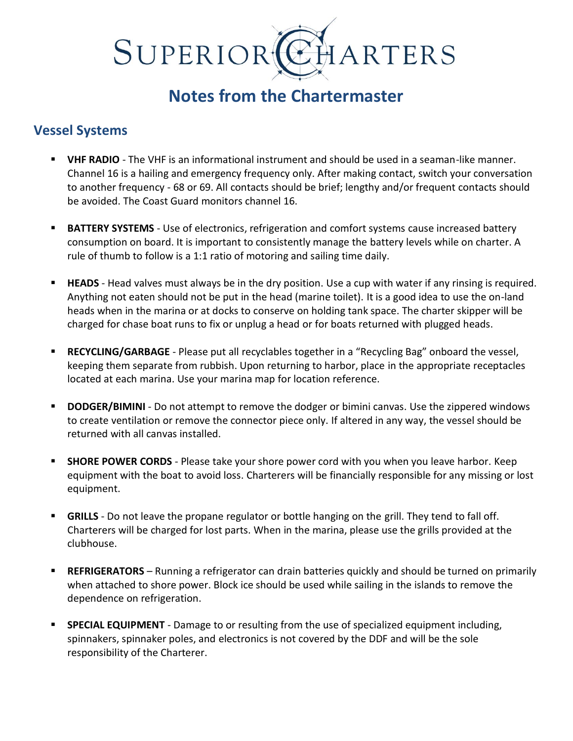# SUPERIOR ARTERS

## **Notes from the Chartermaster**

#### **Vessel Systems**

- **VHF RADIO** The VHF is an informational instrument and should be used in a seaman-like manner. Channel 16 is a hailing and emergency frequency only. After making contact, switch your conversation to another frequency - 68 or 69. All contacts should be brief; lengthy and/or frequent contacts should be avoided. The Coast Guard monitors channel 16.
- **EXTERY SYSTEMS** Use of electronics, refrigeration and comfort systems cause increased battery consumption on board. It is important to consistently manage the battery levels while on charter. A rule of thumb to follow is a 1:1 ratio of motoring and sailing time daily.
- **EXTERDE** Head valves must always be in the dry position. Use a cup with water if any rinsing is required. Anything not eaten should not be put in the head (marine toilet). It is a good idea to use the on-land heads when in the marina or at docks to conserve on holding tank space. The charter skipper will be charged for chase boat runs to fix or unplug a head or for boats returned with plugged heads.
- **EXECYCLING/GARBAGE** Please put all recyclables together in a "Recycling Bag" onboard the vessel, keeping them separate from rubbish. Upon returning to harbor, place in the appropriate receptacles located at each marina. Use your marina map for location reference.
- **DODGER/BIMINI** Do not attempt to remove the dodger or bimini canvas. Use the zippered windows to create ventilation or remove the connector piece only. If altered in any way, the vessel should be returned with all canvas installed.
- **EXECT SHORE POWER CORDS** Please take your shore power cord with you when you leave harbor. Keep equipment with the boat to avoid loss. Charterers will be financially responsible for any missing or lost equipment.
- **GRILLS** Do not leave the propane regulator or bottle hanging on the grill. They tend to fall off. Charterers will be charged for lost parts. When in the marina, please use the grills provided at the clubhouse.
- **REFRIGERATORS** Running a refrigerator can drain batteries quickly and should be turned on primarily when attached to shore power. Block ice should be used while sailing in the islands to remove the dependence on refrigeration.
- **SPECIAL EQUIPMENT** Damage to or resulting from the use of specialized equipment including, spinnakers, spinnaker poles, and electronics is not covered by the DDF and will be the sole responsibility of the Charterer.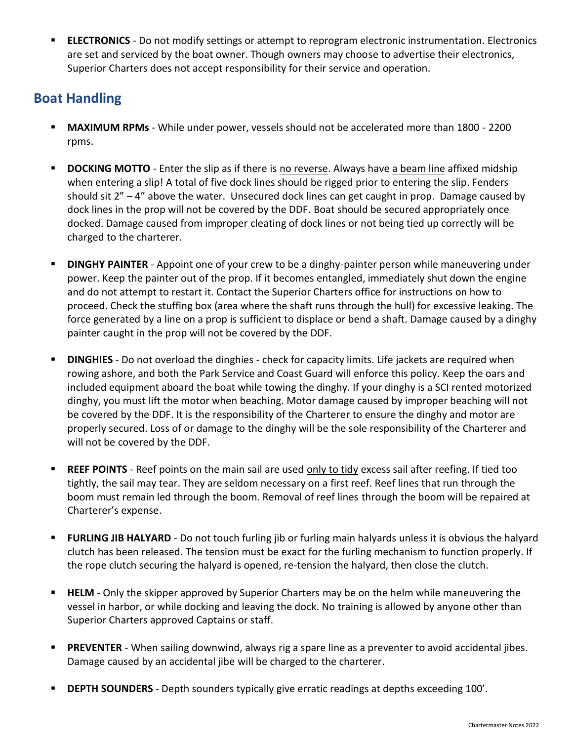**ELECTRONICS** - Do not modify settings or attempt to reprogram electronic instrumentation. Electronics are set and serviced by the boat owner. Though owners may choose to advertise their electronics, Superior Charters does not accept responsibility for their service and operation.

### **Boat Handling**

- **MAXIMUM RPMs** While under power, vessels should not be accelerated more than 1800 2200 rpms.
- **DOCKING MOTTO** Enter the slip as if there is no reverse. Always have a beam line affixed midship when entering a slip! A total of five dock lines should be rigged prior to entering the slip. Fenders should sit  $2" - 4"$  above the water. Unsecured dock lines can get caught in prop. Damage caused by dock lines in the prop will not be covered by the DDF. Boat should be secured appropriately once docked. Damage caused from improper cleating of dock lines or not being tied up correctly will be charged to the charterer.
- **DINGHY PAINTER** Appoint one of your crew to be a dinghy-painter person while maneuvering under power. Keep the painter out of the prop. If it becomes entangled, immediately shut down the engine and do not attempt to restart it. Contact the Superior Charters office for instructions on how to proceed. Check the stuffing box (area where the shaft runs through the hull) for excessive leaking. The force generated by a line on a prop is sufficient to displace or bend a shaft. Damage caused by a dinghy painter caught in the prop will not be covered by the DDF.
- **DINGHIES** Do not overload the dinghies check for capacity limits. Life jackets are required when rowing ashore, and both the Park Service and Coast Guard will enforce this policy. Keep the oars and included equipment aboard the boat while towing the dinghy. If your dinghy is a SCI rented motorized dinghy, you must lift the motor when beaching. Motor damage caused by improper beaching will not be covered by the DDF. It is the responsibility of the Charterer to ensure the dinghy and motor are properly secured. Loss of or damage to the dinghy will be the sole responsibility of the Charterer and will not be covered by the DDF.
- REEF POINTS Reef points on the main sail are used only to tidy excess sail after reefing. If tied too tightly, the sail may tear. They are seldom necessary on a first reef. Reef lines that run through the boom must remain led through the boom. Removal of reef lines through the boom will be repaired at Charterer's expense.
- **EURLING JIB HALYARD** Do not touch furling jib or furling main halyards unless it is obvious the halyard clutch has been released. The tension must be exact for the furling mechanism to function properly. If the rope clutch securing the halyard is opened, re-tension the halyard, then close the clutch.
- **HELM** Only the skipper approved by Superior Charters may be on the helm while maneuvering the vessel in harbor, or while docking and leaving the dock. No training is allowed by anyone other than Superior Charters approved Captains or staff.
- **PREVENTER** When sailing downwind, always rig a spare line as a preventer to avoid accidental jibes. Damage caused by an accidental jibe will be charged to the charterer.
- **DEPTH SOUNDERS** Depth sounders typically give erratic readings at depths exceeding 100'.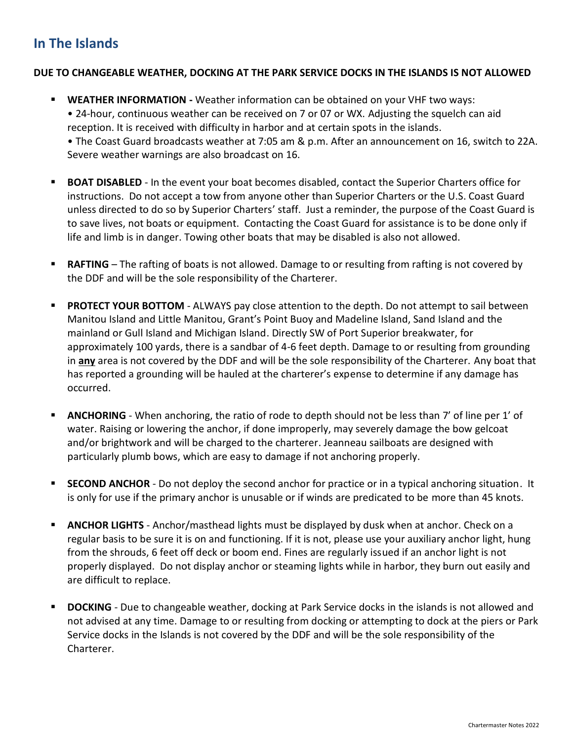### **In The Islands**

#### **DUE TO CHANGEABLE WEATHER, DOCKING AT THE PARK SERVICE DOCKS IN THE ISLANDS IS NOT ALLOWED**

- **EXECTER INFORMATION -** Weather information can be obtained on your VHF two ways: • 24-hour, continuous weather can be received on 7 or 07 or WX. Adjusting the squelch can aid reception. It is received with difficulty in harbor and at certain spots in the islands. • The Coast Guard broadcasts weather at 7:05 am & p.m. After an announcement on 16, switch to 22A. Severe weather warnings are also broadcast on 16.
- **BOAT DISABLED** In the event your boat becomes disabled, contact the Superior Charters office for instructions. Do not accept a tow from anyone other than Superior Charters or the U.S. Coast Guard unless directed to do so by Superior Charters' staff. Just a reminder, the purpose of the Coast Guard is to save lives, not boats or equipment. Contacting the Coast Guard for assistance is to be done only if life and limb is in danger. Towing other boats that may be disabled is also not allowed.
- **RAFTING** The rafting of boats is not allowed. Damage to or resulting from rafting is not covered by the DDF and will be the sole responsibility of the Charterer.
- **PROTECT YOUR BOTTOM** ALWAYS pay close attention to the depth. Do not attempt to sail between Manitou Island and Little Manitou, Grant's Point Buoy and Madeline Island, Sand Island and the mainland or Gull Island and Michigan Island. Directly SW of Port Superior breakwater, for approximately 100 yards, there is a sandbar of 4-6 feet depth. Damage to or resulting from grounding in **any** area is not covered by the DDF and will be the sole responsibility of the Charterer. Any boat that has reported a grounding will be hauled at the charterer's expense to determine if any damage has occurred.
- ANCHORING When anchoring, the ratio of rode to depth should not be less than 7' of line per 1' of water. Raising or lowering the anchor, if done improperly, may severely damage the bow gelcoat and/or brightwork and will be charged to the charterer. Jeanneau sailboats are designed with particularly plumb bows, which are easy to damage if not anchoring properly.
- **SECOND ANCHOR** Do not deploy the second anchor for practice or in a typical anchoring situation. It is only for use if the primary anchor is unusable or if winds are predicated to be more than 45 knots.
- **E** ANCHOR LIGHTS Anchor/masthead lights must be displayed by dusk when at anchor. Check on a regular basis to be sure it is on and functioning. If it is not, please use your auxiliary anchor light, hung from the shrouds, 6 feet off deck or boom end. Fines are regularly issued if an anchor light is not properly displayed. Do not display anchor or steaming lights while in harbor, they burn out easily and are difficult to replace.
- **DOCKING** Due to changeable weather, docking at Park Service docks in the islands is not allowed and not advised at any time. Damage to or resulting from docking or attempting to dock at the piers or Park Service docks in the Islands is not covered by the DDF and will be the sole responsibility of the Charterer.